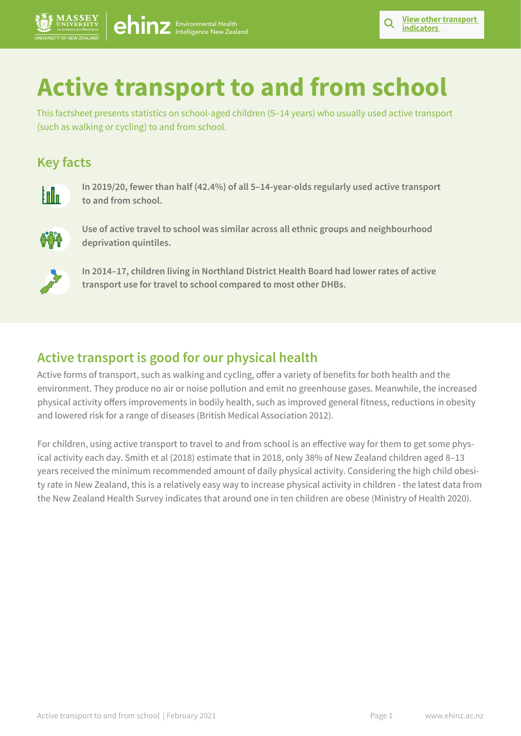# **Active transport to and from school**

This factsheet presents statistics on school-aged children (5–14 years) who usually used active transport (such as walking or cycling) to and from school.

# **Key facts**



**In 2019/20, fewer than half (42.4%) of all 5–14-year-olds regularly used active transport to and from school.**



**Use of active travel to school was similar across all ethnic groups and neighbourhood deprivation quintiles.**



**In 2014–17, children living in Northland District Health Board had lower rates of active transport use for travel to school compared to most other DHBs.** 

# **Active transport is good for our physical health**

[ehinz](https://www.ehinz.ac.nz/) Environmental Health

Active forms of transport, such as walking and cycling, offer a variety of benefits for both health and the environment. They produce no air or noise pollution and emit no greenhouse gases. Meanwhile, the increased physical activity offers improvements in bodily health, such as improved general fitness, reductions in obesity and lowered risk for a range of diseases (British Medical Association 2012).

For children, using active transport to travel to and from school is an effective way for them to get some physical activity each day. Smith et al (2018) estimate that in 2018, only 38% of New Zealand children aged 8–13 years received the minimum recommended amount of daily physical activity. Considering the high child obesity rate in New Zealand, this is a relatively easy way to increase physical activity in children - the latest data from the New Zealand Health Survey indicates that around one in ten children are obese (Ministry of Health 2020).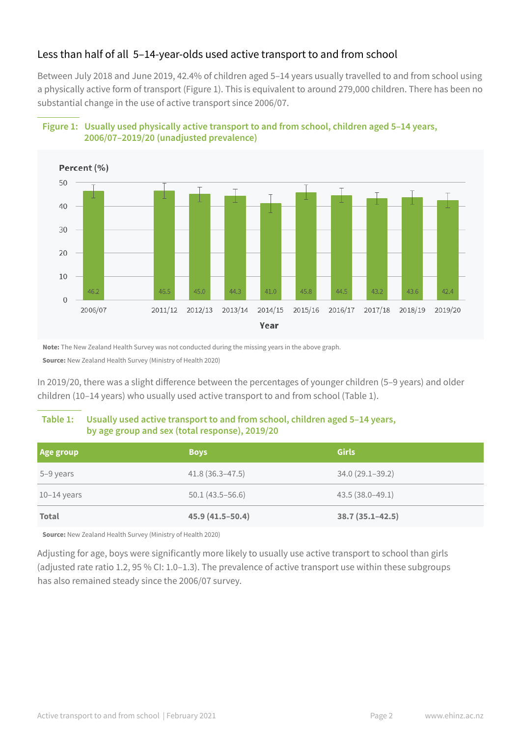## Less than half of all 5–14-year-olds used active transport to and from school

Between July 2018 and June 2019, 42.4% of children aged 5–14 years usually travelled to and from school using a physically active form of transport (Figure 1). This is equivalent to around 279,000 children. There has been no substantial change in the use of active transport since 2006/07.





**Note:** The New Zealand Health Survey was not conducted during the missing years in the above graph.

**Source:** New Zealand Health Survey (Ministry of Health 2020)

In 2019/20, there was a slight difference between the percentages of younger children (5–9 years) and older children (10–14 years) who usually used active transport to and from school (Table 1).

#### **Table 1: Usually used active transport to and from school, children aged 5–14 years, by age group and sex (total response), 2019/20**

| Age group     | <b>Boys</b>         | <b>Girls</b>        |
|---------------|---------------------|---------------------|
| 5-9 years     | $41.8(36.3 - 47.5)$ | $34.0(29.1 - 39.2)$ |
| $10-14$ years | $50.1(43.5 - 56.6)$ | $43.5(38.0-49.1)$   |
| <b>Total</b>  | 45.9 (41.5-50.4)    | $38.7(35.1 - 42.5)$ |

**Source:** New Zealand Health Survey (Ministry of Health 2020)

Adjusting for age, boys were significantly more likely to usually use active transport to school than girls (adjusted rate ratio 1.2, 95 % CI: 1.0–1.3). The prevalence of active transport use within these subgroups has also remained steady since the 2006/07 survey.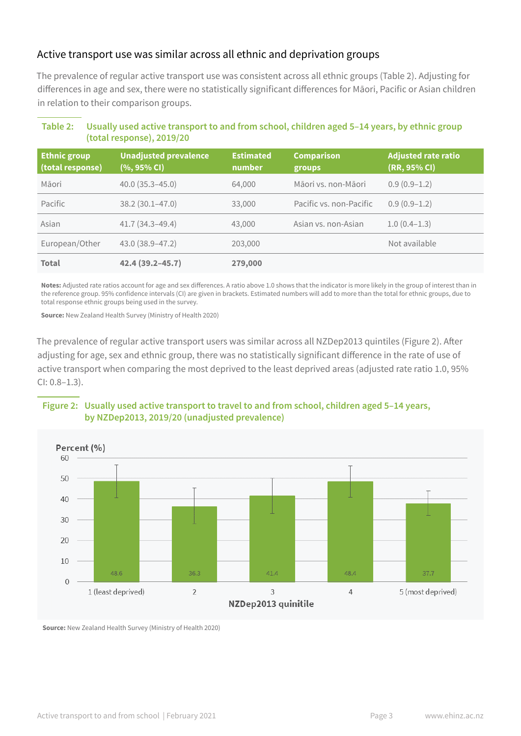#### Active transport use was similar across all ethnic and deprivation groups

The prevalence of regular active transport use was consistent across all ethnic groups (Table 2). Adjusting for differences in age and sex, there were no statistically significant differences for Māori, Pacific or Asian children in relation to their comparison groups.

| <b>Ethnic group</b><br>(total response) | <b>Unadjusted prevalence</b><br>$(%, 95\% \, \text{Cl})$ | <b>Estimated</b><br>number | <b>Comparison</b><br>groups | <b>Adjusted rate ratio</b><br>(RR, 95% CI) |
|-----------------------------------------|----------------------------------------------------------|----------------------------|-----------------------------|--------------------------------------------|
| Māori                                   | $40.0(35.3 - 45.0)$                                      | 64,000                     | Māori vs. non-Māori         | $0.9(0.9-1.2)$                             |
| Pacific                                 | $38.2(30.1 - 47.0)$                                      | 33,000                     | Pacific vs. non-Pacific     | $0.9(0.9-1.2)$                             |
| Asian                                   | $41.7(34.3 - 49.4)$                                      | 43,000                     | Asian vs. non-Asian         | $1.0(0.4-1.3)$                             |
| European/Other                          | 43.0 (38.9-47.2)                                         | 203,000                    |                             | Not available                              |
| <b>Total</b>                            | 42.4 (39.2-45.7)                                         | 279,000                    |                             |                                            |

#### **Table 2: Usually used active transport to and from school, children aged 5–14 years, by ethnic group (total response), 2019/20**

**Notes:** Adjusted rate ratios account for age and sex differences. A ratio above 1.0 shows that the indicator is more likely in the group of interest than in the reference group. 95% confidence intervals (CI) are given in brackets. Estimated numbers will add to more than the total for ethnic groups, due to total response ethnic groups being used in the survey.

**Source:** New Zealand Health Survey (Ministry of Health 2020)

The prevalence of regular active transport users was similar across all NZDep2013 quintiles (Figure 2). After adjusting for age, sex and ethnic group, there was no statistically significant difference in the rate of use of active transport when comparing the most deprived to the least deprived areas (adjusted rate ratio 1.0, 95% CI: 0.8–1.3).

#### **Figure 2: Usually used active transport to travel to and from school, children aged 5–14 years, by NZDep2013, 2019/20 (unadjusted prevalence)**



**Source:** New Zealand Health Survey (Ministry of Health 2020)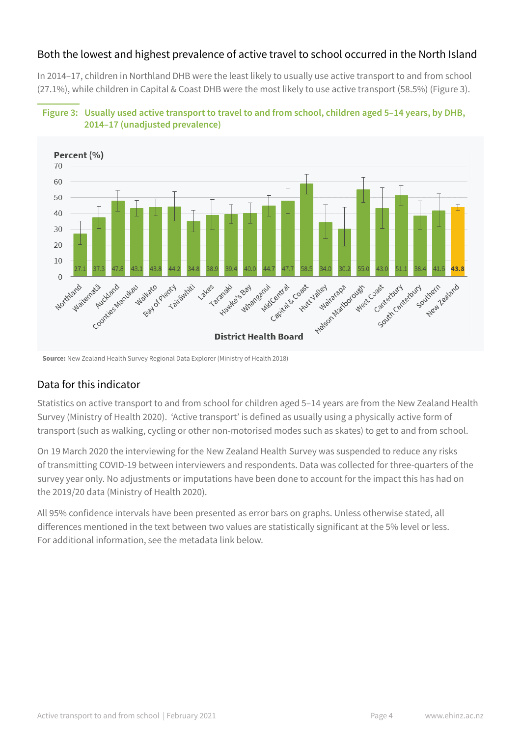### Both the lowest and highest prevalence of active travel to school occurred in the North Island

In 2014–17, children in Northland DHB were the least likely to usually use active transport to and from school (27.1%), while children in Capital & Coast DHB were the most likely to use active transport (58.5%) (Figure 3).





## Data for this indicator

Statistics on active transport to and from school for children aged 5–14 years are from the New Zealand Health Survey (Ministry of Health 2020). 'Active transport' is defined as usually using a physically active form of transport (such as walking, cycling or other non-motorised modes such as skates) to get to and from school.

On 19 March 2020 the interviewing for the New Zealand Health Survey was suspended to reduce any risks of transmitting COVID-19 between interviewers and respondents. Data was collected for three-quarters of the survey year only. No adjustments or imputations have been done to account for the impact this has had on the 2019/20 data (Ministry of Health 2020).

All 95% confidence intervals have been presented as error bars on graphs. Unless otherwise stated, all differences mentioned in the text between two values are statistically significant at the 5% level or less. For additional information, see the metadata link below.

**Source:** New Zealand Health Survey Regional Data Explorer (Ministry of Health 2018)